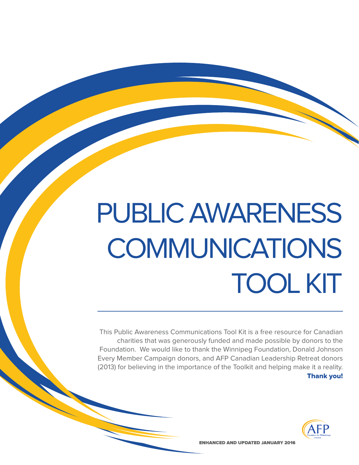# PUBLIC AWARENESS **COMMUNICATIONS** TOOL KIT

This Public Awareness Communications Tool Kit is a free resource for Canadian charities that was generously funded and made possible by donors to the Foundation. We would like to thank the Winnipeg Foundation, Donald Johnson Every Member Campaign donors, and AFP Canadian Leadership Retreat donors (2013) for believing in the importance of the Toolkit and helping make it a reality. Thank you!



ENHANCED AND UPDATED JANUARY 2016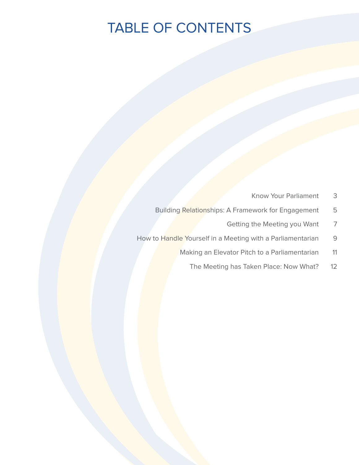# TABLE OF CONTENTS

- Know Your Parliament 3
- Building Relationships: A Framework for Engagement 5
	- Getting the Meeting you Want 7
- How to Handle Yourself in a Meeting with a Parliamentarian 9
	- Making an Elevator Pitch to a Parliamentarian 11
		- The Meeting has Taken Place: Now What? 12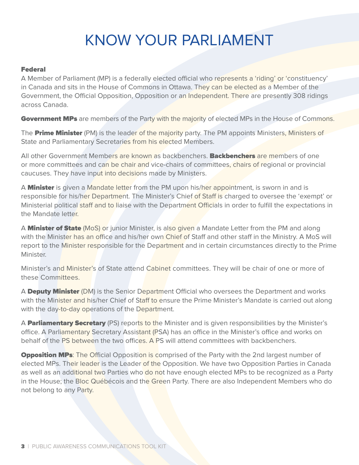# KNOW YOUR PARLIAMENT

# Federal

A Member of Parliament (MP) is a federally elected official who represents a 'riding' or 'constituency' in Canada and sits in the House of Commons in Ottawa. They can be elected as a Member of the Government, the Official Opposition, Opposition or an Independent. There are presently 308 ridings across Canada.

Government MPs are members of the Party with the majority of elected MPs in the House of Commons.

The **Prime Minister** (PM) is the leader of the majority party. The PM appoints Ministers, Ministers of State and Parliamentary Secretaries from his elected Members.

All other Government Members are known as backbenchers. **Backbenchers** are members of one or more committees and can be chair and vice-chairs of committees, chairs of regional or provincial caucuses. They have input into decisions made by Ministers.

A **Minister** is given a Mandate letter from the PM upon his/her appointment, is sworn in and is responsible for his/her Department. The Minister's Chief of Staff is charged to oversee the 'exempt' or Ministerial political staff and to liaise with the Department Officials in order to fulfill the expectations in the Mandate letter.

A **Minister of State** (MoS) or junior Minister, is also given a Mandate Letter from the PM and along with the Minister has an office and his/her own Chief of Staff and other staff in the Ministry. A MoS will report to the Minister responsible for the Department and in certain circumstances directly to the Prime Minister.

Minister's and Minister's of State attend Cabinet committees. They will be chair of one or more of these Committees.

A **Deputy Minister** (DM) is the Senior Department Official who oversees the Department and works with the Minister and his/her Chief of Staff to ensure the Prime Minister's Mandate is carried out along with the day-to-day operations of the Department.

A **Parliamentary Secretary** (PS) reports to the Minister and is given responsibilities by the Minister's office. A Parliamentary Secretary Assistant (PSA) has an office in the Minister's office and works on behalf of the PS between the two offices. A PS will attend committees with backbenchers.

**Opposition MPs:** The Official Opposition is comprised of the Party with the 2nd largest number of elected MPs. Their leader is the Leader of the Opposition. We have two Opposition Parties in Canada as well as an additional two Parties who do not have enough elected MPs to be recognized as a Party in the House; the Bloc Québécois and the Green Party. There are also Independent Members who do not belong to any Party.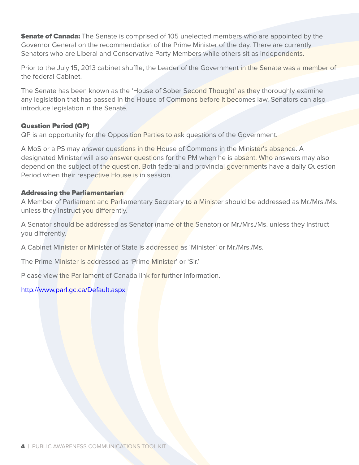**Senate of Canada:** The Senate is comprised of 105 unelected members who are appointed by the Governor General on the recommendation of the Prime Minister of the day. There are currently Senators who are Liberal and Conservative Party Members while others sit as independents.

Prior to the July 15, 2013 cabinet shuffle, the Leader of the Government in the Senate was a member of the federal Cabinet.

The Senate has been known as the 'House of Sober Second Thought' as they thoroughly examine any legislation that has passed in the House of Commons before it becomes law. Senators can also introduce legislation in the Senate.

# Question Period (QP)

QP is an opportunity for the Opposition Parties to ask questions of the Government.

A MoS or a PS may answer questions in the House of Commons in the Minister's absence. A designated Minister will also answer questions for the PM when he is absent. Who answers may also depend on the subject of the question. Both federal and provincial governments have a daily Question Period when their respective House is in session.

# Addressing the Parliamentarian

A Member of Parliament and Parliamentary Secretary to a Minister should be addressed as Mr./Mrs./Ms. unless they instruct you differently.

A Senator should be addressed as Senator (name of the Senator) or Mr./Mrs./Ms. unless they instruct you differently.

A Cabinet Minister or Minister of State is addressed as 'Minister' or Mr./Mrs./Ms.

The Prime Minister is addressed as 'Prime Minister' or 'Sir.'

Please view the Parliament of Canada link for further information.

# http://www.parl.gc.ca/Default.aspx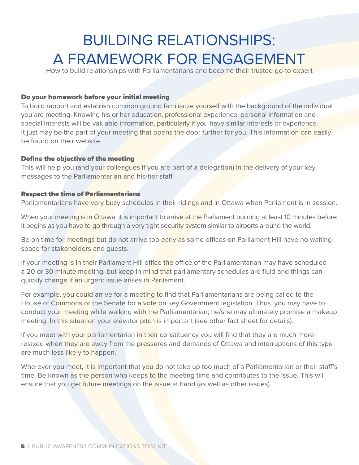# BUILDING RELATIONSHIPS: A FRAMEWORK FOR ENGAGEMENT

How to build relationships with Parliamentarians and become their trusted go-to expert

# Do your homework before your initial meeting

To build rapport and establish common ground familiarize yourself with the background of the individual you are meeting. Knowing his or her education, professional experience, personal information and special interests will be valuable information, particularly if you have similar interests or experience. It just may be the part of your meeting that opens the door further for you. This information can easily be found on their website.

### Define the objective of the meeting

This will help you (and your colleagues if you are part of a delegation) in the delivery of your key messages to the Parliamentarian and his/her staff.

### Respect the time of Parliamentarians

Parliamentarians have very busy schedules in their ridings and in Ottawa when Parliament is in session.

When your meeting is in Ottawa, it is important to arrive at the Parliament building at least 10 minutes before it begins as you have to go through a very tight security system similar to airports around the world.

Be on time for meetings but do not arrive too early as some offices on Parliament Hill have no waiting space for stakeholders and guests.

If your meeting is in their Parliament Hill office the office of the Parliamentarian may have scheduled a 20 or 30 minute meeting, but keep in mind that parliamentary schedules are fluid and things can quickly change if an urgent issue arises in Parliament.

For example, you could arrive for a meeting to find that Parliamentarians are being called to the House of Commons or the Senate for a vote on key Government legislation. Thus, you may have to conduct your meeting while walking with the Parliamentarian; he/she may ultimately promise a makeup meeting. In this situation your elevator pitch is important (see other fact sheet for details).

If you meet with your parliamentarian in their constituency you will find that they are much more relaxed when they are away from the pressures and demands of Ottawa and interruptions of this type are much less likely to happen.

Wherever you meet, it is important that you do not take up too much of a Parliamentarian or their staff's time. Be known as the person who keeps to the meeting time and contributes to the issue. This will ensure that you get future meetings on the issue at hand (as well as other issues).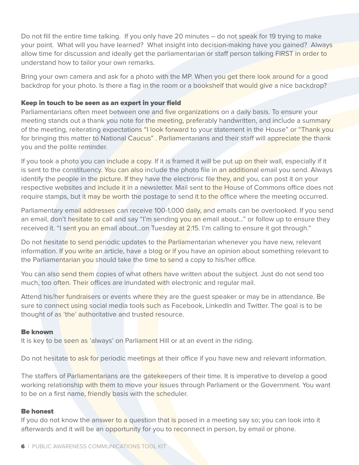Do not fill the entire time talking. If you only have 20 minutes – do not speak for 19 trying to make your point. What will you have learned? What insight into decision-making have you gained? Always allow time for discussion and ideally get the parliamentarian or staff person talking FIRST in order to understand how to tailor your own remarks.

Bring your own camera and ask for a photo with the MP. When you get there look around for a good backdrop for your photo. Is there a flag in the room or a bookshelf that would give a nice backdrop?

# Keep in touch to be seen as an expert in your field

Parliamentarians often meet between one and five organizations on a daily basis. To ensure your meeting stands out a thank you note for the meeting, preferably handwritten, and include a summary of the meeting, reiterating expectations "I look forward to your statement in the House" or "Thank you for bringing this matter to National Caucus". Parliamentarians and their staff will appreciate the thank you and the polite reminder.

If you took a photo you can include a copy. If it is framed it will be put up on their wall, especially if it is sent to the constituency. You can also include the photo file in an additional email you send. Always identify the people in the picture. If they have the electronic file they, and you, can post it on your respective websites and include it in a newsletter. Mail sent to the House of Commons office does not require stamps, but it may be worth the postage to send it to the office where the meeting occurred.

Parliamentary email addresses can receive 100-1,000 daily, and emails can be overlooked. If you send an email, don't hesitate to call and say "I'm sending you an email about..." or follow up to ensure they received it. "I sent you an email about...on Tuesday at 2:15. I'm calling to ensure it got through."

Do not hesitate to send periodic updates to the Parliamentarian whenever you have new, relevant information. If you write an article, have a blog or if you have an opinion about something relevant to the Parliamentarian you should take the time to send a copy to his/her office.

You can also send them copies of what others have written about the subject. Just do not send too much, too often. Their offices are inundated with electronic and regular mail.

Attend his/her fundraisers or events where they are the guest speaker or may be in attendance. Be sure to connect using social media tools such as Facebook, LinkedIn and Twitter. The goal is to be thought of as 'the' authoritative and trusted resource.

### Be known

It is key to be seen as 'always' on Parliament Hill or at an event in the riding.

Do not hesitate to ask for periodic meetings at their office if you have new and relevant information.

The staffers of Parliamentarians are the gatekeepers of their time. It is imperative to develop a good working relationship with them to move your issues through Parliament or the Government. You want to be on a first name, friendly basis with the scheduler.

### Be honest

If you do not know the answer to a question that is posed in a meeting say so; you can look into it afterwards and it will be an opportunity for you to reconnect in person, by email or phone.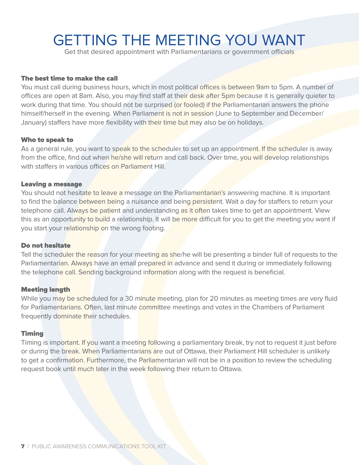# GETTING THE MEETING YOU WANT

Get that desired appointment with Parliamentarians or government officials

### The best time to make the call

You must call during business hours, which in most political offices is between 9am to 5pm. A number of offices are open at 8am. Also, you may find staff at their desk after 5pm because it is generally quieter to work during that time. You should not be surprised (or fooled) if the Parliamentarian answers the phone himself/herself in the evening. When Parliament is not in session (June to September and December/ January) staffers have more flexibility with their time but may also be on holidays.

#### Who to speak to

As a general rule, you want to speak to the scheduler to set up an appointment. If the scheduler is away from the office, find out when he/she will return and call back. Over time, you will develop relationships with staffers in various offices on Parliament Hill.

#### Leaving a message

You should not hesitate to leave a message on the Parliamentarian's answering machine. It is important to find the balance between being a nuisance and being persistent. Wait a day for staffers to return your telephone call. Always be patient and understanding as it often takes time to get an appointment. View this as an opportunity to build a relationship. It will be more difficult for you to get the meeting you want if you start your relationship on the wrong footing.

### Do not hesitate

Tell the scheduler the reason for your meeting as she/he will be presenting a binder full of requests to the Parliamentarian. Always have an email prepared in advance and send it during or immediately following the telephone call. Sending background information along with the request is beneficial.

#### Meeting length

While you may be scheduled for a 30 minute meeting, plan for 20 minutes as meeting times are very fluid for Parliamentarians. Often, last minute committee meetings and votes in the Chambers of Parliament frequently dominate their schedules.

### Timing

Timing is important. If you want a meeting following a parliamentary break, try not to request it just before or during the break. When Parliamentarians are out of Ottawa, their Parliament Hill scheduler is unlikely to get a confirmation. Furthermore, the Parliamentarian will not be in a position to review the scheduling request book until much later in the week following their return to Ottawa.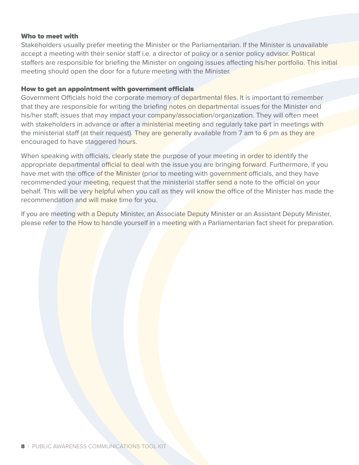### Who to meet with

Stakeholders usually prefer meeting the Minister or the Parliamentarian. If the Minister is unavailable accept a meeting with their senior staff i.e. a director of policy or a senior policy advisor. Political staffers are responsible for briefing the Minister on ongoing issues affecting his/her portfolio. This initial meeting should open the door for a future meeting with the Minister.

### How to get an appointment with government officials

Government Officials hold the corporate memory of departmental files. It is important to remember that they are responsible for writing the briefing notes on departmental issues for the Minister and his/her staff; issues that may impact your company/association/organization. They will often meet with stakeholders in advance or after a ministerial meeting and regularly take part in meetings with the ministerial staff (at their request). They are generally available from 7 am to 6 pm as they are encouraged to have staggered hours.

When speaking with officials, clearly state the purpose of your meeting in order to identify the appropriate departmental official to deal with the issue you are bringing forward. Furthermore, if you have met with the office of the Minister (prior to meeting with government officials, and they have recommended your meeting, request that the ministerial staffer send a note to the official on your behalf. This will be very helpful when you call as they will know the office of the Minister has made the recommendation and will make time for you.

If you are meeting with a Deputy Minister, an Associate Deputy Minister or an Assistant Deputy Minister, please refer to the How to handle yourself in a meeting with a Parliamentarian fact sheet for preparation.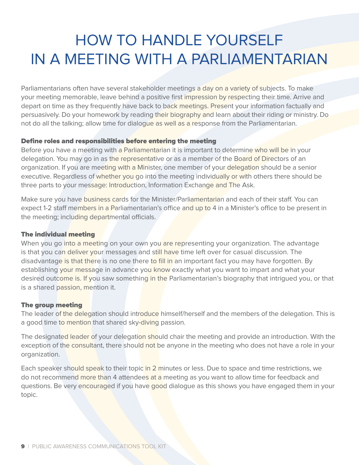# HOW TO HANDLE YOURSELF IN A MEETING WITH A PARLIAMENTARIAN

Parliamentarians often have several stakeholder meetings a day on a variety of subjects. To make your meeting memorable, leave behind a positive first impression by respecting their time. Arrive and depart on time as they frequently have back to back meetings. Present your information factually and persuasively. Do your homework by reading their biography and learn about their riding or ministry. Do not do all the talking; allow time for dialogue as well as a response from the Parliamentarian.

# Define roles and responsibilities before entering the meeting

Before you have a meeting with a Parliamentarian it is important to determine who will be in your delegation. You may go in as the representative or as a member of the Board of Directors of an organization. If you are meeting with a Minister, one member of your delegation should be a senior executive. Regardless of whether you go into the meeting individually or with others there should be three parts to your message: Introduction, Information Exchange and The Ask.

Make sure you have business cards for the Minister/Parliamentarian and each of their staff. You can expect 1-2 staff members in a Parliamentarian's office and up to 4 in a Minister's office to be present in the meeting; including departmental officials.

# The individual meeting

When you go into a meeting on your own you are representing your organization. The advantage is that you can deliver your messages and still have time left over for casual discussion. The disadvantage is that there is no one there to fill in an important fact you may have forgotten. By establishing your message in advance you know exactly what you want to impart and what your desired outcome is. If you saw something in the Parliamentarian's biography that intrigued you, or that is a shared passion, mention it.

# The group meeting

The leader of the delegation should introduce himself/herself and the members of the delegation. This is a good time to mention that shared sky-diving passion.

The designated leader of your delegation should chair the meeting and provide an introduction. With the exception of the consultant, there should not be anyone in the meeting who does not have a role in your organization.

Each speaker should speak to their topic in 2 minutes or less. Due to space and time restrictions, we do not recommend more than 4 attendees at a meeting as you want to allow time for feedback and questions. Be very encouraged if you have good dialogue as this shows you have engaged them in your topic.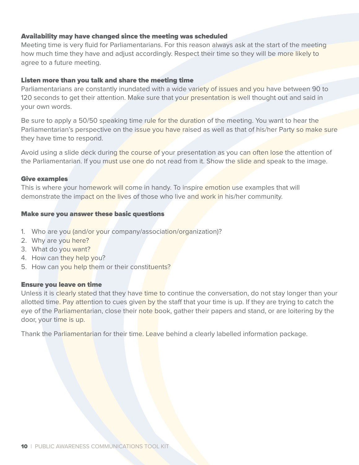# Availability may have changed since the meeting was scheduled

Meeting time is very fluid for Parliamentarians. For this reason always ask at the start of the meeting how much time they have and adjust accordingly. Respect their time so they will be more likely to agree to a future meeting.

### Listen more than you talk and share the meeting time

Parliamentarians are constantly inundated with a wide variety of issues and you have between 90 to 120 seconds to get their attention. Make sure that your presentation is well thought out and said in your own words.

Be sure to apply a 50/50 speaking time rule for the duration of the meeting. You want to hear the Parliamentarian's perspective on the issue you have raised as well as that of his/her Party so make sure they have time to respond.

Avoid using a slide deck during the course of your presentation as you can often lose the attention of the Parliamentarian. If you must use one do not read from it. Show the slide and speak to the image.

### Give examples

This is where your homework will come in handy. To inspire emotion use examples that will demonstrate the impact on the lives of those who live and work in his/her community.

# Make sure you answer these basic questions

- 1. Who are you (and/or your company/association/organization)?
- 2. Why are you here?
- 3. What do you want?
- 4. How can they help you?
- 5. How can you help them or their constituents?

### Ensure you leave on time

Unless it is clearly stated that they have time to continue the conversation, do not stay longer than your allotted time. Pay attention to cues given by the staff that your time is up. If they are trying to catch the eye of the Parliamentarian, close their note book, gather their papers and stand, or are loitering by the door, your time is up.

Thank the Parliamentarian for their time. Leave behind a clearly labelled information package.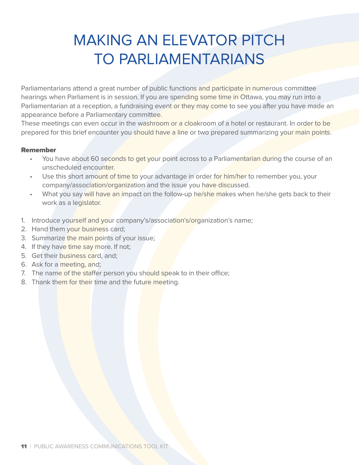# MAKING AN ELEVATOR PITCH TO PARLIAMENTARIANS

Parliamentarians attend a great number of public functions and participate in numerous committee hearings when Parliament is in session. If you are spending some time in Ottawa, you may run into a Parliamentarian at a reception, a fundraising event or they may come to see you after you have made an appearance before a Parliamentary committee.

These meetings can even occur in the washroom or a cloakroom of a hotel or restaurant. In order to be prepared for this brief encounter you should have a line or two prepared summarizing your main points.

# Remember

- You have about 60 seconds to get your point across to a Parliamentarian during the course of an unscheduled encounter.
- Use this short amount of time to your advantage in order for him/her to remember you, your company/association/organization and the issue you have discussed.
- What you say will have an impact on the follow-up he/she makes when he/she gets back to their work as a legislator.
- 1. Introduce yourself and your company's/association's/organization's name;
- 2. Hand them your business card;
- 3. Summarize the main points of your issue;
- 4. If they have time say more. If not;
- 5. Get their business card, and;
- 6. Ask for a meeting, and;
- 7. The name of the staffer person you should speak to in their office;
- 8. Thank them for their time and the future meeting.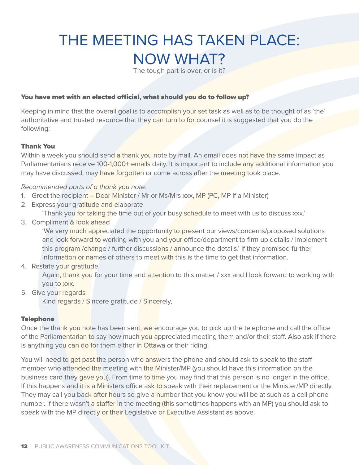# THE MEETING HAS TAKEN PLACE: NOW WHAT?

The tough part is over, or is it?

### You have met with an elected official, what should you do to follow up?

Keeping in mind that the overall goal is to accomplish your set task as well as to be thought of as 'the' authoritative and trusted resource that they can turn to for counsel it is suggested that you do the following:

### Thank You

Within a week you should send a thank you note by mail. An email does not have the same impact as Parliamentarians receive 100-1,000+ emails daily. It is important to include any additional information you may have discussed, may have forgotten or come across after the meeting took place.

#### Recommended parts of a thank you note:

- 1. Greet the recipient Dear Minister / Mr or Ms/Mrs xxx, MP (PC, MP if a Minister)
- 2. Express your gratitude and elaborate
	- 'Thank you for taking the time out of your busy schedule to meet with us to discuss xxx.'
- 3. Compliment & look ahead

'We very much appreciated the opportunity to present our views/concerns/proposed solutions and look forward to working with you and your office/department to firm up details / implement this program /change / further discussions / announce the details.' If they promised further information or names of others to meet with this is the time to get that information.

4. Restate your gratitude

 Again, thank you for your time and attention to this matter / xxx and I look forward to working with you to xxx.

5. Give your regards

Kind regards / Sincere gratitude / Sincerely,

### **Telephone**

Once the thank you note has been sent, we encourage you to pick up the telephone and call the office of the Parliamentarian to say how much you appreciated meeting them and/or their staff. Also ask if there is anything you can do for them either in Ottawa or their riding.

You will need to get past the person who answers the phone and should ask to speak to the staff member who attended the meeting with the Minister/MP (you should have this information on the business card they gave you). From time to time you may find that this person is no longer in the office. If this happens and it is a Ministers office ask to speak with their replacement or the Minister/MP directly. They may call you back after hours so give a number that you know you will be at such as a cell phone number. If there wasn't a staffer in the meeting (this sometimes happens with an MP) you should ask to speak with the MP directly or their Legislative or Executive Assistant as above.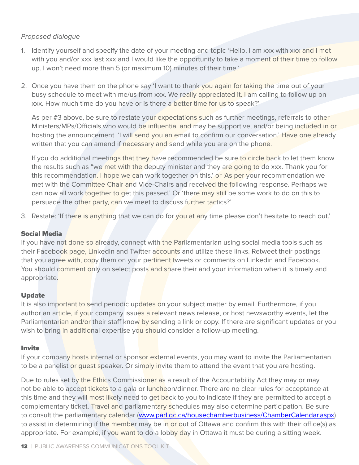# Proposed dialogue

- 1. Identify yourself and specify the date of your meeting and topic 'Hello, I am xxx with xxx and I met with you and/or xxx last xxx and I would like the opportunity to take a moment of their time to follow up. I won't need more than 5 (or maximum 10) minutes of their time.'
- 2. Once you have them on the phone say 'I want to thank you again for taking the time out of your busy schedule to meet with me/us from xxx. We really appreciated it. I am calling to follow up on xxx. How much time do you have or is there a better time for us to speak?'

As per #3 above, be sure to restate your expectations such as further meetings, referrals to other Ministers/MPs/Officials who would be influential and may be supportive, and/or being included in or hosting the announcement. 'I will send you an email to confirm our conversation.' Have one already written that you can amend if necessary and send while you are on the phone.

If you do additional meetings that they have recommended be sure to circle back to let them know the results such as "we met with the deputy minister and they are going to do xxx. Thank you for this recommendation. I hope we can work together on this.' or 'As per your recommendation we met with the Committee Chair and Vice-Chairs and received the following response. Perhaps we can now all work together to get this passed.' Or 'there may still be some work to do on this to persuade the other party, can we meet to discuss further tactics?'

3. Restate: 'If there is anything that we can do for you at any time please don't hesitate to reach out.'

# Social Media

If you have not done so already, connect with the Parliamentarian using social media tools such as their Facebook page, LinkedIn and Twitter accounts and utilize these links. Retweet their postings that you agree with, copy them on your pertinent tweets or comments on Linkedin and Facebook. You should comment only on select posts and share their and your information when it is timely and appropriate.

# **Update**

It is also important to send periodic updates on your subject matter by email. Furthermore, if you author an article, if your company issues a relevant news release, or host newsworthy events, let the Parliamentarian and/or their staff know by sending a link or copy. If there are significant updates or you wish to bring in additional expertise you should consider a follow-up meeting.

# Invite

If your company hosts internal or sponsor external events, you may want to invite the Parliamentarian to be a panelist or guest speaker. Or simply invite them to attend the event that you are hosting.

Due to rules set by the Ethics Commissioner as a result of the Accountability Act they may or may not be able to accept tickets to a gala or luncheon/dinner. There are no clear rules for acceptance at this time and they will most likely need to get back to you to indicate if they are permitted to accept a complementary ticket. Travel and parliamentary schedules may also determine participation. Be sure to consult the parliamentary calendar (www.parl.gc.ca/housechamberbusiness/ChamberCalendar.aspx) to assist in determining if the member may be in or out of Ottawa and confirm this with their office(s) as appropriate. For example, if you want to do a lobby day in Ottawa it must be during a sitting week.